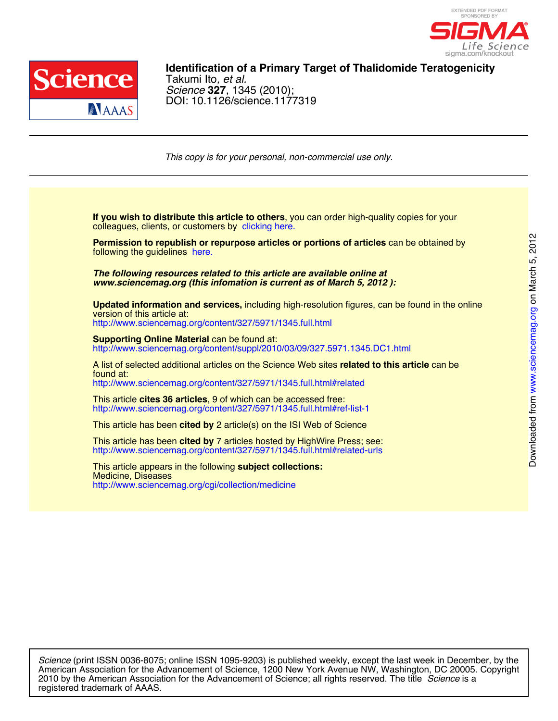



DOI: 10.1126/science.1177319 *Science* **327**, 1345 (2010); Takumi Ito*, et al.* **Identification of a Primary Target of Thalidomide Teratogenicity**

*This copy is for your personal, non-commercial use only.*

colleagues, clients, or customers by clicking here. **If you wish to distribute this article to others**, you can order high-quality copies for your

following the guidelines here. **Permission to republish or repurpose articles or portions of articles** can be obtained by

*www.sciencemag.org (this infomation is current as of March 5, 2012 ): The following resources related to this article are available online at*

http://www.sciencemag.org/content/327/5971/1345.full.html version of this article at: **Updated information and services,** including high-resolution figures, can be found in the online

http://www.sciencemag.org/content/suppl/2010/03/09/327.5971.1345.DC1.html **Supporting Online Material can be found at:** 

http://www.sciencemag.org/content/327/5971/1345.full.html#related found at: A list of selected additional articles on the Science Web sites **related to this article** can be

http://www.sciencemag.org/content/327/5971/1345.full.html#ref-list-1 This article **cites 36 articles**, 9 of which can be accessed free:

This article has been **cited by** 2 article(s) on the ISI Web of Science

http://www.sciencemag.org/content/327/5971/1345.full.html#related-urls This article has been **cited by** 7 articles hosted by HighWire Press; see:

http://www.sciencemag.org/cgi/collection/medicine Medicine, Diseases This article appears in the following **subject collections:**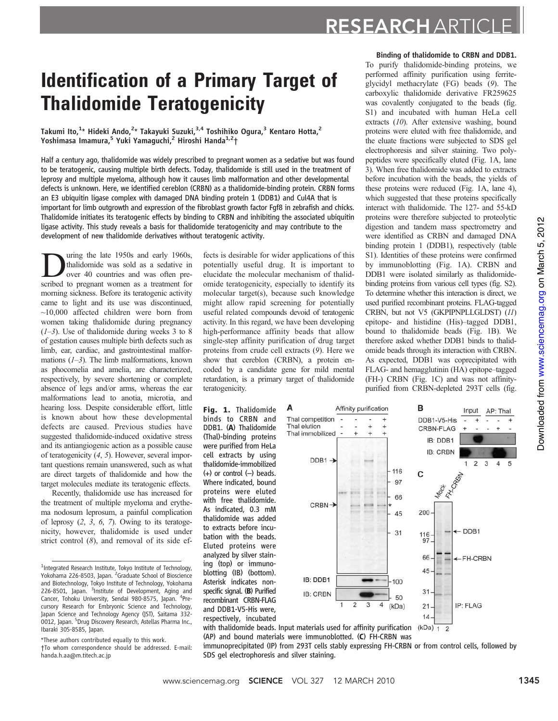# RESEARCH ARTICLE

## Identification of a Primary Target of Thalidomide Teratogenicity

Takumi Ito, $^{1_\star}$  Hideki Ando, $^{2_\star}$  Takayuki Suzuki, $^{3,4}$  Toshihiko Ogura, $^3$  Kentaro Hotta, $^2$ Yoshimasa Imamura,<sup>5</sup> Yuki Yamaguchi,<sup>2</sup> Hiroshi Handa<sup>1,2</sup>†

Half a century ago, thalidomide was widely prescribed to pregnant women as a sedative but was found to be teratogenic, causing multiple birth defects. Today, thalidomide is still used in the treatment of leprosy and multiple myeloma, although how it causes limb malformation and other developmental defects is unknown. Here, we identified cereblon (CRBN) as a thalidomide-binding protein. CRBN forms an E3 ubiquitin ligase complex with damaged DNA binding protein 1 (DDB1) and Cul4A that is important for limb outgrowth and expression of the fibroblast growth factor Fgf8 in zebrafish and chicks. Thalidomide initiates its teratogenic effects by binding to CRBN and inhibiting the associated ubiquitin ligase activity. This study reveals a basis for thalidomide teratogenicity and may contribute to the development of new thalidomide derivatives without teratogenic activity.

Using the late 1950s and early 1960s,<br>thalidomide was sold as a sedative in<br>over 40 countries and was often prethalidomide was sold as a sedative in over 40 countries and was often prescribed to pregnant women as a treatment for morning sickness. Before its teratogenic activity came to light and its use was discontinued,  $\sim$ 10,000 affected children were born from women taking thalidomide during pregnancy  $(1-3)$ . Use of thalidomide during weeks 3 to 8 of gestation causes multiple birth defects such as limb, ear, cardiac, and gastrointestinal malformations  $(1-3)$ . The limb malformations, known as phocomelia and amelia, are characterized, respectively, by severe shortening or complete absence of legs and/or arms, whereas the ear malformations lead to anotia, microtia, and hearing loss. Despite considerable effort, little is known about how these developmental defects are caused. Previous studies have suggested thalidomide-induced oxidative stress and its antiangiogenic action as a possible cause of teratogenicity (4, 5). However, several important questions remain unanswered, such as what are direct targets of thalidomide and how the target molecules mediate its teratogenic effects.

Recently, thalidomide use has increased for the treatment of multiple myeloma and erythema nodosum leprosum, a painful complication of leprosy  $(2, 3, 6, 7)$ . Owing to its teratogenicity, however, thalidomide is used under strict control  $(8)$ , and removal of its side ef-

\*These authors contributed equally to this work. †To whom correspondence should be addressed. E-mail: handa.h.aa@m.titech.ac.jp

fects is desirable for wider applications of this potentially useful drug. It is important to elucidate the molecular mechanism of thalidomide teratogenicity, especially to identify its molecular target(s), because such knowledge might allow rapid screening for potentially useful related compounds devoid of teratogenic activity. In this regard, we have been developing high-performance affinity beads that allow single-step affinity purification of drug target proteins from crude cell extracts (9). Here we show that cereblon (CRBN), a protein encoded by a candidate gene for mild mental retardation, is a primary target of thalidomide teratogenicity.

Fig. 1. Thalidomide binds to CRBN and DDB1. (A) Thalidomide (Thal)-binding proteins were purified from HeLa cell extracts by using thalidomide-immobilized  $(+)$  or control  $(-)$  beads. Where indicated, bound proteins were eluted with free thalidomide. As indicated, 0.3 mM thalidomide was added to extracts before incubation with the beads. Eluted proteins were analyzed by silver staining (top) or immunoblotting (IB) (bottom). Asterisk indicates nonspecific signal. (B) Purified recombinant CRBN-FLAG and DDB1-V5-His were, respectively, incubated



To purify thalidomide-binding proteins, we performed affinity purification using ferriteglycidyl methacrylate (FG) beads (9). The carboxylic thalidomide derivative FR259625 was covalently conjugated to the beads (fig. S1) and incubated with human HeLa cell extracts (10). After extensive washing, bound proteins were eluted with free thalidomide, and the eluate fractions were subjected to SDS gel electrophoresis and silver staining. Two polypeptides were specifically eluted (Fig. 1A, lane 3). When free thalidomide was added to extracts before incubation with the beads, the yields of these proteins were reduced (Fig. 1A, lane 4), which suggested that these proteins specifically interact with thalidomide. The 127- and 55-kD proteins were therefore subjected to proteolytic digestion and tandem mass spectrometry and were identified as CRBN and damaged DNA binding protein 1 (DDB1), respectively (table S1). Identities of these proteins were confirmed by immunoblotting (Fig. 1A). CRBN and DDB1 were isolated similarly as thalidomidebinding proteins from various cell types (fig. S2). To determine whether this interaction is direct, we used purified recombinant proteins. FLAG-tagged CRBN, but not V5 (GKPIPNPLLGLDST) (11) epitope- and histidine (His)–tagged DDB1, bound to thalidomide beads (Fig. 1B). We therefore asked whether DDB1 binds to thalidomide beads through its interaction with CRBN. As expected, DDB1 was coprecipitated with FLAG- and hemagglutinin (HA) epitope–tagged (FH-) CRBN (Fig. 1C) and was not affinitypurified from CRBN-depleted 293T cells (fig.



with thalidomide beads. Input materials used for affinity purification (AP) and bound materials were immunoblotted. (C) FH-CRBN was

immunoprecipitated (IP) from 293T cells stably expressing FH-CRBN or from control cells, followed by SDS gel electrophoresis and silver staining.

<sup>&</sup>lt;sup>1</sup>Integrated Research Institute, Tokyo Institute of Technology, Yokohama 226-8503, Japan. <sup>2</sup>Graduate School of Bioscience and Biotechnology, Tokyo Institute of Technology, Yokohama 226-8501, Japan. <sup>3</sup>Institute of Development, Aging and Cancer, Tohoku University, Sendai 980-8575, Japan. <sup>4</sup>Precursory Research for Embryonic Science and Technology, Japan Science and Technology Agency (JST), Saitama 332 o<br>0012, Japan. <sup>5</sup>Drug Discovery Research, Astellas Pharma Inc., Ibaraki 305-8585, Japan.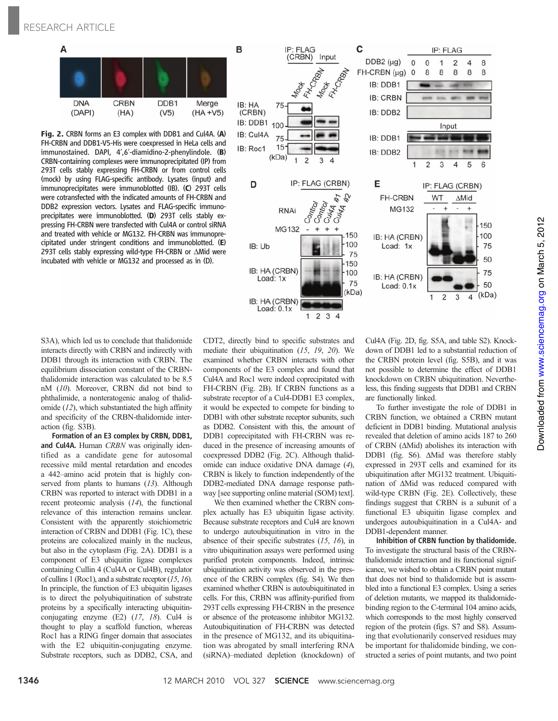

Fig. 2. CRBN forms an E3 complex with DDB1 and Cul4A. (A) FH-CRBN and DDB1-V5-His were coexpressed in HeLa cells and immunostained. DAPI, 4′,6′-diamidino-2-phenylindole. (B) CRBN-containing complexes were immunoprecipitated (IP) from 293T cells stably expressing FH-CRBN or from control cells (mock) by using FLAG-specific antibody. Lysates (input) and immunoprecipitates were immunoblotted (IB). (C) 293T cells were cotransfected with the indicated amounts of FH-CRBN and DDB2 expression vectors. Lysates and FLAG-specific immunoprecipitates were immunoblotted. (D) 293T cells stably expressing FH-CRBN were transfected with Cul4A or control siRNA and treated with vehicle or MG132. FH-CRBN was immunoprecipitated under stringent conditions and immunoblotted. (E) 293T cells stably expressing wild-type FH-CRBN or  $\Delta$ Mid were incubated with vehicle or MG132 and processed as in (D).



S3A), which led us to conclude that thalidomide interacts directly with CRBN and indirectly with DDB1 through its interaction with CRBN. The equilibrium dissociation constant of the CRBNthalidomide interaction was calculated to be 8.5 nM (10). Moreover, CRBN did not bind to phthalimide, a nonteratogenic analog of thalidomide (12), which substantiated the high affinity and specificity of the CRBN-thalidomide interaction (fig. S3B).

Formation of an E3 complex by CRBN, DDB1, and Cul4A. Human CRBN was originally identified as a candidate gene for autosomal recessive mild mental retardation and encodes a 442–amino acid protein that is highly conserved from plants to humans (13). Although CRBN was reported to interact with DDB1 in a recent proteomic analysis (14), the functional relevance of this interaction remains unclear. Consistent with the apparently stoichiometric interaction of CRBN and DDB1 (Fig. 1C), these proteins are colocalized mainly in the nucleus, but also in the cytoplasm (Fig. 2A). DDB1 is a component of E3 ubiquitin ligase complexes containing Cullin 4 (Cul4A or Cul4B), regulator of cullins 1 (Roc1), and a substrate receptor (15, 16). In principle, the function of E3 ubiquitin ligases is to direct the polyubiquitination of substrate proteins by a specifically interacting ubiquitinconjugating enzyme (E2) (17, 18). Cul4 is thought to play a scaffold function, whereas Roc1 has a RING finger domain that associates with the E2 ubiquitin-conjugating enzyme. Substrate receptors, such as DDB2, CSA, and

CDT2, directly bind to specific substrates and mediate their ubiquitination (15, 19, 20). We examined whether CRBN interacts with other components of the E3 complex and found that Cul4A and Roc1 were indeed coprecipitated with FH-CRBN (Fig. 2B). If CRBN functions as a substrate receptor of a Cul4-DDB1 E3 complex, it would be expected to compete for binding to DDB1 with other substrate receptor subunits, such as DDB2. Consistent with this, the amount of DDB1 coprecipitated with FH-CRBN was reduced in the presence of increasing amounts of coexpressed DDB2 (Fig. 2C). Although thalidomide can induce oxidative DNA damage (4), CRBN is likely to function independently of the DDB2-mediated DNA damage response pathway [see supporting online material (SOM) text].

We then examined whether the CRBN complex actually has E3 ubiquitin ligase activity. Because substrate receptors and Cul4 are known to undergo autoubiquitination in vitro in the absence of their specific substrates (15, 16), in vitro ubiquitination assays were performed using purified protein components. Indeed, intrinsic ubiquitination activity was observed in the presence of the CRBN complex (fig. S4). We then examined whether CRBN is autoubiquitinated in cells. For this, CRBN was affinity-purified from 293T cells expressing FH-CRBN in the presence or absence of the proteasome inhibitor MG132. Autoubiquitination of FH-CRBN was detected in the presence of MG132, and its ubiquitination was abrogated by small interfering RNA (siRNA)–mediated depletion (knockdown) of

Cul4A (Fig. 2D, fig. S5A, and table S2). Knockdown of DDB1 led to a substantial reduction of the CRBN protein level (fig. S5B), and it was not possible to determine the effect of DDB1 knockdown on CRBN ubiquitination. Nevertheless, this finding suggests that DDB1 and CRBN are functionally linked.

To further investigate the role of DDB1 in CRBN function, we obtained a CRBN mutant deficient in DDB1 binding. Mutational analysis revealed that deletion of amino acids 187 to 260 of CRBN  $(\Delta \text{Mid})$  abolishes its interaction with DDB1 (fig. S6).  $\Delta$ Mid was therefore stably expressed in 293T cells and examined for its ubiquitination after MG132 treatment. Ubiquitination of  $\Delta$ Mid was reduced compared with wild-type CRBN (Fig. 2E). Collectively, these findings suggest that CRBN is a subunit of a functional E3 ubiquitin ligase complex and undergoes autoubiquitination in a Cul4A- and DDB1-dependent manner.

Inhibition of CRBN function by thalidomide. To investigate the structural basis of the CRBNthalidomide interaction and its functional significance, we wished to obtain a CRBN point mutant that does not bind to thalidomide but is assembled into a functional E3 complex. Using a series of deletion mutants, we mapped its thalidomidebinding region to the C-terminal 104 amino acids, which corresponds to the most highly conserved region of the protein (figs. S7 and S8). Assuming that evolutionarily conserved residues may be important for thalidomide binding, we constructed a series of point mutants, and two point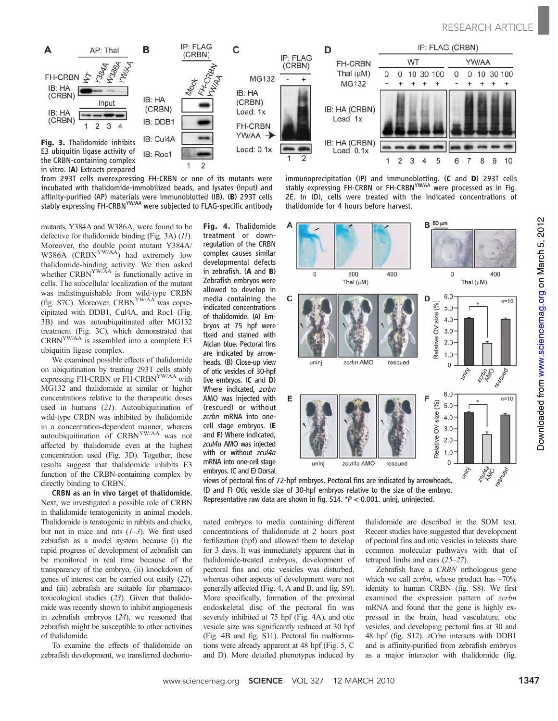

from 293T cells overexpressing FH-CRBN or one of its mutants were incubated with thalidomide-immobilized beads, and lysates (input) and affinity-purified (AP) materials were immunoblotted (IB). (B) 293T cells stably expressing FH-CRBN<sup>YW/AA</sup> were subjected to FLAG-specific antibody

mutants, Y384A and W386A, were found to be defective for thalidomide binding (Fig. 3A) (11). Moreover, the double point mutant Y384A/ W386A (CRBN<sup>YW/AA</sup>) had extremely low thalidomide-binding activity. We then asked whether CRBN<sup>YW/AA</sup> is functionally active in cells. The subcellular localization of the mutant was indistinguishable from wild-type CRBN (fig. S7C). Moreover, CRBNYW/AA was coprecipitated with DDB1, Cul4A, and Roc1 (Fig. 3B) and was autoubiquitinated after MG132 treatment (Fig. 3C), which demonstrated that CRBNYW/AA is assembled into a complete E3 ubiquitin ligase complex.

We examined possible effects of thalidomide on ubiquitination by treating 293T cells stably expressing FH-CRBN or FH-CRBN<sup>YW/AA</sup> with MG132 and thalidomide at similar or higher concentrations relative to the therapeutic doses used in humans (21). Autoubiquitination of wild-type CRBN was inhibited by thalidomide in a concentration-dependent manner, whereas autoubiquitination of CRBNYW/AA was not affected by thalidomide even at the highest concentration used (Fig. 3D). Together, these results suggest that thalidomide inhibits E3 function of the CRBN-containing complex by directly binding to CRBN.

CRBN as an in vivo target of thalidomide. Next, we investigated a possible role of CRBN in thalidomide teratogenicity in animal models. Thalidomide is teratogenic in rabbits and chicks, but not in mice and rats  $(1-3)$ . We first used zebrafish as a model system because (i) the rapid progress of development of zebrafish can be monitored in real time because of the transparency of the embryo, (ii) knockdown of genes of interest can be carried out easily (22), and (iii) zebrafish are suitable for pharmacotoxicological studies (23). Given that thalidomide was recently shown to inhibit angiogenesis in zebrafish embryos (24), we reasoned that zebrafish might be susceptible to other activities of thalidomide.

To examine the effects of thalidomide on zebrafish development, we transferred dechorioFig. 4. Thalidomide treatment or downregulation of the CRBN complex causes similar developmental defects in zebrafish. (A and B) Zebrafish embryos were allowed to develop in media containing the indicated concentrations of thalidomide. (A) Embryos at 75 hpf were fixed and stained with Alcian blue. Pectoral fins are indicated by arrowheads. (B) Close-up view of otic vesicles of 30-hpf live embryos. (C and D) Where indicated, zcrbn AMO was injected with (rescued) or without zcrbn mRNA into onecell stage embryos. (E and F) Where indicated, zcul4a AMO was injected with or without zcul4a mRNA into one-cell stage embryos. (C and E) Dorsal

immunoprecipitation (IP) and immunoblotting. (C and D) 293T cells stably expressing FH-CRBN or FH-CRBN<sup>YW/AA</sup> were processed as in Fig. 2E. In (D), cells were treated with the indicated concentrations of thalidomide for 4 hours before harvest.



views of pectoral fins of 72-hpf embryos. Pectoral fins are indicated by arrowheads. (D and F) Otic vesicle size of 30-hpf embryos relative to the size of the embryo. Representative raw data are shown in fig. S14. \*P < 0.001. uninj, uninjected.

nated embryos to media containing different concentrations of thalidomide at 2 hours post fertilization (hpf) and allowed them to develop for 3 days. It was immediately apparent that in thalidomide-treated embryos, development of pectoral fins and otic vesicles was disturbed, whereas other aspects of development were not generally affected (Fig. 4, A and B, and fig. S9). More specifically, formation of the proximal endoskeletal disc of the pectoral fin was severely inhibited at 75 hpf (Fig. 4A), and otic vesicle size was significantly reduced at 30 hpf (Fig. 4B and fig. S11). Pectoral fin malformations were already apparent at 48 hpf (Fig. 5, C and D). More detailed phenotypes induced by thalidomide are described in the SOM text. Recent studies have suggested that development of pectoral fins and otic vesicles in teleosts share common molecular pathways with that of tetrapod limbs and ears (25–27).

Zebrafish have a CRBN orthologous gene which we call *zcrbn*, whose product has  $\sim 70\%$ identity to human CRBN (fig. S8). We first examined the expression pattern of zcrbn mRNA and found that the gene is highly expressed in the brain, head vasculature, otic vesicles, and developing pectoral fins at 30 and 48 hpf (fig. S12). zCrbn interacts with DDB1 and is affinity-purified from zebrafish embryos as a major interactor with thalidomide (fig.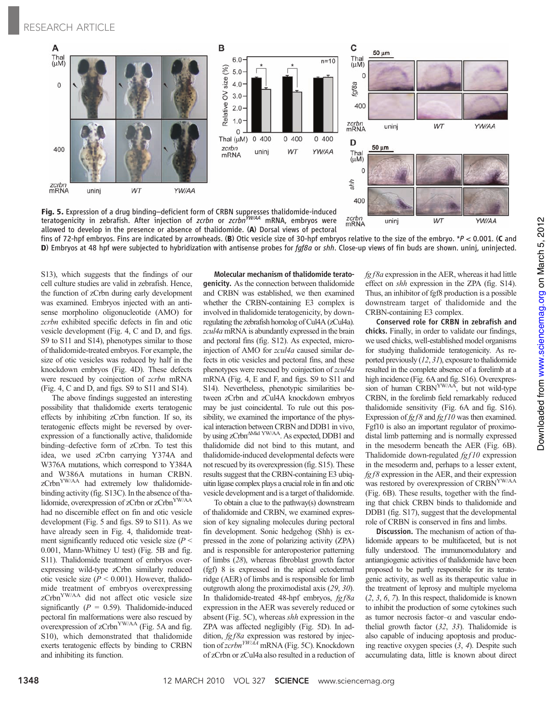

Fig. 5. Expression of a drug binding–deficient form of CRBN suppresses thalidomide-induced teratogenicity in zebrafish. After injection of zcrbn or zcrbn<sup>YW/AA</sup> mRNA, embryos were allowed to develop in the presence or absence of thalidomide. (A) Dorsal views of pectoral

fins of 72-hpf embryos. Fins are indicated by arrowheads. (B) Otic vesicle size of 30-hpf embryos relative to the size of the embryo. \*P < 0.001. (C and D) Embryos at 48 hpf were subjected to hybridization with antisense probes for faf8a or shh. Close-up views of fin buds are shown. uninj, uninjected.

zcrbn<br>mRNA

uninj

S13), which suggests that the findings of our cell culture studies are valid in zebrafish. Hence, the function of zCrbn during early development was examined. Embryos injected with an antisense morpholino oligonucleotide (AMO) for zcrbn exhibited specific defects in fin and otic vesicle development (Fig. 4, C and D, and figs. S9 to S11 and S14), phenotypes similar to those of thalidomide-treated embryos. For example, the size of otic vesicles was reduced by half in the knockdown embryos (Fig. 4D). These defects were rescued by coinjection of zcrbn mRNA (Fig. 4, C and D, and figs. S9 to S11 and S14).

The above findings suggested an interesting possibility that thalidomide exerts teratogenic effects by inhibiting zCrbn function. If so, its teratogenic effects might be reversed by overexpression of a functionally active, thalidomide binding–defective form of zCrbn. To test this idea, we used zCrbn carrying Y374A and W376A mutations, which correspond to Y384A and W386A mutations in human CRBN. zCrbn<sup>YW/AA</sup> had extremely low thalidomidebinding activity (fig. S13C). In the absence of thalidomide, overexpression of zCrbn or zCrbn<sup>YW/AA</sup> had no discernible effect on fin and otic vesicle development (Fig. 5 and figs. S9 to S11). As we have already seen in Fig. 4, thalidomide treatment significantly reduced otic vesicle size  $(P <$ 0.001, Mann-Whitney U test) (Fig. 5B and fig. S11). Thalidomide treatment of embryos overexpressing wild-type zCrbn similarly reduced otic vesicle size ( $P < 0.001$ ). However, thalidomide treatment of embryos overexpressing zCrbn<sup>YW/AA</sup> did not affect otic vesicle size significantly ( $P = 0.59$ ). Thalidomide-induced pectoral fin malformations were also rescued by overexpression of zCrbn<sup>YW/AA</sup> (Fig. 5A and fig. S10), which demonstrated that thalidomide exerts teratogenic effects by binding to CRBN and inhibiting its function.

Molecular mechanism of thalidomide teratogenicity. As the connection between thalidomide and CRBN was established, we then examined whether the CRBN-containing E3 complex is involved in thalidomide teratogenicity, by downregulating the zebrafish homolog of Cul4A (zCul4a). zcul4a mRNA is abundantly expressed in the brain and pectoral fins (fig. S12). As expected, microinjection of AMO for zcul4a caused similar defects in otic vesicles and pectoral fins, and these phenotypes were rescued by coinjection of zcul4a mRNA (Fig. 4, E and F, and figs. S9 to S11 and S14). Nevertheless, phenotypic similarities between zCrbn and zCul4A knockdown embryos may be just coincidental. To rule out this possibility, we examined the importance of the physical interaction between CRBN and DDB1 in vivo, by using zCrbn<sup>∆Mid YW/AA</sup>. As expected, DDB1 and thalidomide did not bind to this mutant, and thalidomide-induced developmental defects were not rescued by its overexpression (fig. S15). These results suggest that the CRBN-containing E3 ubiquitin ligase complex plays a crucial role in fin and otic vesicle development and is a target of thalidomide.

To obtain a clue to the pathway(s) downstream of thalidomide and CRBN, we examined expression of key signaling molecules during pectoral fin development. Sonic hedgehog (Shh) is expressed in the zone of polarizing activity (ZPA) and is responsible for anteroposterior patterning of limbs (28), whereas fibroblast growth factor (fgf) 8 is expressed in the apical ectodermal ridge (AER) of limbs and is responsible for limb outgrowth along the proximodistal axis (29, 30). In thalidomide-treated 48-hpf embryos,  $fg f 8a$ expression in the AER was severely reduced or absent (Fig. 5C), whereas shh expression in the ZPA was affected negligibly (Fig. 5D). In addition,  $fgf8a$  expression was restored by injection of zcrbn<sup>YW/AA</sup> mRNA (Fig. 5C). Knockdown of zCrbn or zCul4a also resulted in a reduction of fg f8a expression in the AER, whereas it had little effect on shh expression in the ZPA (fig. S14). Thus, an inhibitor of fgf8 production is a possible downstream target of thalidomide and the CRBN-containing E3 complex.

WT

YW/AA

Conserved role for CRBN in zebrafish and chicks. Finally, in order to validate our findings, we used chicks, well-established model organisms for studying thalidomide teratogenicity. As reported previously (12, 31), exposure to thalidomide resulted in the complete absence of a forelimb at a high incidence (Fig. 6A and fig. S16). Overexpression of human CRBN<sup>YW/AA</sup>, but not wild-type CRBN, in the forelimb field remarkably reduced thalidomide sensitivity (Fig. 6A and fig. S16). Expression of  $f g f 8$  and  $f g f 10$  was then examined. Fgf10 is also an important regulator of proximodistal limb patterning and is normally expressed in the mesoderm beneath the AER (Fig. 6B). Thalidomide down-regulated  $fgf10$  expression in the mesoderm and, perhaps to a lesser extent,  $f g f 8$  expression in the AER, and their expression was restored by overexpression of CRBN<sup>YW/AA</sup> (Fig. 6B). These results, together with the finding that chick CRBN binds to thalidomide and DDB1 (fig. S17), suggest that the developmental role of CRBN is conserved in fins and limbs.

Discussion. The mechanism of action of thalidomide appears to be multifaceted, but is not fully understood. The immunomodulatory and antiangiogenic activities of thalidomide have been proposed to be partly responsible for its teratogenic activity, as well as its therapeutic value in the treatment of leprosy and multiple myeloma (2, 3, 6, 7). In this respect, thalidomide is known to inhibit the production of some cytokines such as tumor necrosis factor- $\alpha$  and vascular endothelial growth factor (32, 33). Thalidomide is also capable of inducing apoptosis and producing reactive oxygen species (3, 4). Despite such accumulating data, little is known about direct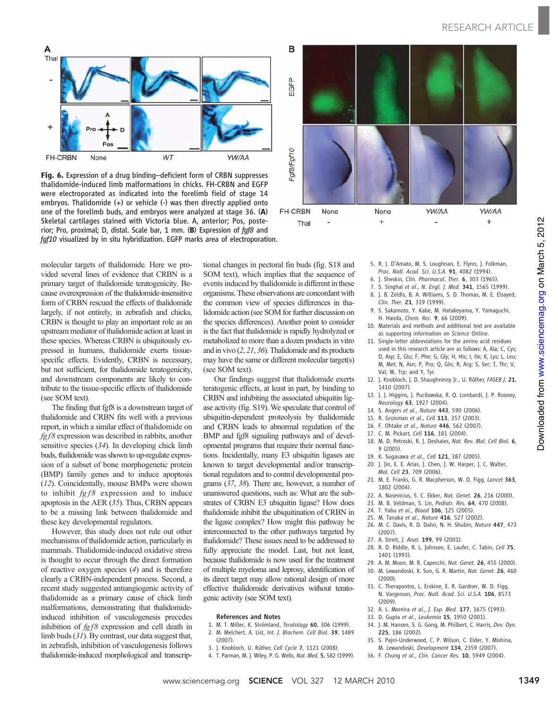

Fig. 6. Expression of a drug binding-deficient form of CRBN suppresses thalidomide-induced limb malformations in chicks. FH-CRBN and EGFP were electroporated as indicated into the forelimb field of stage 14 embryos. Thalidomide (+) or vehicle (-) was then directly applied onto one of the forelimb buds, and embryos were analyzed at stage 36. (A) Skeletal cartilages stained with Victoria blue. A, anterior; Pos, posterior; Pro, proximal; D, distal. Scale bar, 1 mm. (B) Expression of fgf8 and fgf10 visualized by in situ hybridization. EGFP marks area of electroporation.

molecular targets of thalidomide. Here we provided several lines of evidence that CRBN is a primary target of thalidomide teratogenicity. Because overexpression of the thalidomide-insensitive form of CRBN rescued the effects of thalidomide largely, if not entirely, in zebrafish and chicks, CRBN is thought to play an important role as an upstream mediator of thalidomide action at least in these species. Whereas CRBN is ubiquitously expressed in humans, thalidomide exerts tissuespecific effects. Evidently, CRBN is necessary, but not sufficient, for thalidomide teratogenicity, and downstream components are likely to contribute to the tissue-specific effects of thalidomide (see SOM text).

The finding that fgf8 is a downstream target of thalidomide and CRBN fits well with a previous report, in which a similar effect of thalidomide on  $fg f 8$  expression was described in rabbits, another sensitive species (34). In developing chick limb buds, thalidomide was shown to up-regulate expression of a subset of bone morphogenetic protein (BMP) family genes and to induce apoptosis (12). Coincidentally, mouse BMPs were shown to inhibit  $fg f8$  expression and to induce apoptosis in the AER (35). Thus, CRBN appears to be a missing link between thalidomide and these key developmental regulators.

However, this study does not rule out other mechanisms of thalidomide action, particularly in mammals. Thalidomide-induced oxidative stress is thought to occur through the direct formation of reactive oxygen species (4) and is therefore clearly a CRBN-independent process. Second, a recent study suggested antiangiogenic activity of thalidomide as a primary cause of chick limb malformations, demonstrating that thalidomideinduced inhibition of vasculogenesis precedes inhibition of  $fgf8$  expression and cell death in limb buds (31). By contrast, our data suggest that, in zebrafish, inhibition of vasculogenesis follows thalidomide-induced morphological and transcriptional changes in pectoral fin buds (fig. S18 and SOM text), which implies that the sequence of events induced by thalidomide is different in these organisms. These observations are concordant with the common view of species differences in thalidomide action (see SOM for further discussion on the species differences). Another point to consider is the fact that thalidomide is rapidly hydrolyzed or metabolized to more than a dozen products in vitro and in vivo (2, 21, 36). Thalidomide and its products may have the same or different molecular target(s) (see SOM text).

Our findings suggest that thalidomide exerts teratogenic effects, at least in part, by binding to CRBN and inhibiting the associated ubiquitin ligase activity (fig. S19). We speculate that control of ubiquitin-dependent proteolysis by thalidomide and CRBN leads to abnormal regulation of the BMP and fgf8 signaling pathways and of developmental programs that require their normal functions. Incidentally, many E3 ubiquitin ligases are known to target developmental and/or transcriptional regulators and to control developmental programs (37, 38). There are, however, a number of unanswered questions, such as: What are the substrates of CRBN E3 ubiquitin ligase? How does thalidomide inhibit the ubiquitination of CRBN in the ligase complex? How might this pathway be interconnected to the other pathways targeted by thalidomide? These issues need to be addressed to fully appreciate the model. Last, but not least, because thalidomide is now used for the treatment of multiple myeloma and leprosy, identification of its direct target may allow rational design of more effective thalidomide derivatives without teratogenic activity (see SOM text).

#### References and Notes

- 1. M. T. Miller, K. Strömland, Teratology 60, 306 (1999).
- 2. M. Melchert, A. List, Int. J. Biochem. Cell Biol. 39, 1489 (2007).
- 3. J. Knobloch, U. Rüther, Cell Cycle 7, 1121 (2008).
- 4. T. Parman, M. J. Wiley, P. G. Wells, Nat. Med. 5, 582 (1999).



- Downloaded from www.sciencemag.org on March 5, 2012 on March 5, 2012 www.sciencemag.org Downloaded from
- 5. R. J. D'Amato, M. S. Loughnan, E. Flynn, J. Folkman,
- Proc. Natl. Acad. Sci. U.S.A. 91, 4082 (1994).
- 6. J. Sheskin, Clin. Pharmacol. Ther. 6, 303 (1965).
- 7. S. Singhal et al., N. Engl. J. Med. 341, 1565 (1999).
- 8. J. B. Zeldis, B. A. Williams, S. D. Thomas, M. E. Elsayed, Clin. Ther. 21, 319 (1999).
- 9. S. Sakamoto, Y. Kabe, M. Hatakeyama, Y. Yamaguchi, H. Handa, Chem. Rec. 9, 66 (2009).
- 10. Materials and methods and additional text are available as supporting information on Science Online.
- 11. Single-letter abbreviations for the amino acid residues used in this research article are as follows: A, Ala; C, Cys; D, Asp; E, Glu; F, Phe; G, Gly; H, His; I, Ile; K, Lys; L, Leu; M, Met; N, Asn; P, Pro; Q, Gln; R, Arg; S, Ser; T, Thr; V, Val; W, Trp; and Y, Tyr.
- 12. J. Knobloch, J. D. Shaughnessy Jr., U. Rüther, FASEB J. 21, 1410 (2007).
- 13. J. J. Higgins, J. Pucilowska, R. Q. Lombardi, J. P. Rooney, Neurology 63, 1927 (2004).
- 14. S. Angers et al., Nature 443, 590 (2006).
- 15. R. Groisman et al., Cell 113, 357 (2003).
- 16. F. Ohtake et al., Nature 446, 562 (2007).
- 17. C. M. Pickart, Cell 116, 181 (2004).
- 18. M. D. Petroski, R. J. Deshaies, Nat. Rev. Mol. Cell Biol. 6, 9 (2005).
- 19. K. Sugasawa et al., Cell 121, 387 (2005).
- 20. J. Jin, E. E. Arias, J. Chen, J. W. Harper, J. C. Walter, Mol. Cell 23, 709 (2006).
- 21. M. E. Franks, G. R. Macpherson, W. D. Figg, Lancet 363, 1802 (2004).
- 22. A. Nasevicius, S. C. Ekker, Nat. Genet. 26, 216 (2000).
- 23. M. B. Veldman, S. Lin, Pediatr. Res. 64, 470 (2008).
- 24. T. Yabu et al., Blood 106, 125 (2005).
- 25. M. Tanaka et al., Nature 416, 527 (2002).
- 26. M. C. Davis, R. D. Dahn, N. H. Shubin, Nature 447, 473 (2007).
- 27. A. Streit, *I. Anat.* **199**, 99 (2001).
- 28. R. D. Riddle, R. L. Johnson, E. Laufer, C. Tabin, Cell 75, 1401 (1993).
- 29. A. M. Moon, M. R. Capecchi, Nat. Genet. 26, 455 (2000).
- 30. M. Lewandoski, X. Sun, G. R. Martin, Nat. Genet. 26, 460 (2000).
- 31. C. Therapontos, L. Erskine, E. R. Gardner, W. D. Figg, N. Vargesson, Proc. Natl. Acad. Sci. U.S.A. 106, 8573 (2009).
- 32. A. L. Moreira et al., J. Exp. Med. 177, 1675 (1993).
- 33. D. Gupta et al., Leukemia 15, 1950 (2001).
- 34. J. M. Hansen, S. G. Gong, M. Philbert, C. Harris, Dev. Dyn. 225, 186 (2002).
- 35. S. Pajni-Underwood, C. P. Wilson, C. Elder, Y. Mishina, M. Lewandoski, Development 134, 2359 (2007).
- 36. F. Chung et al., Clin. Cancer Res. 10, 5949 (2004).